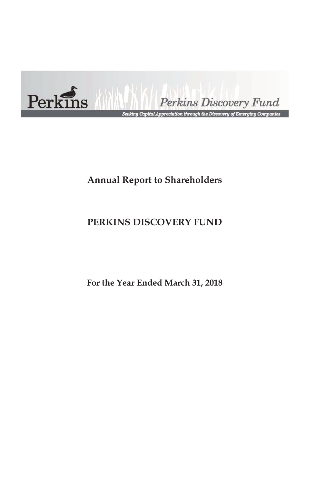

Perkins Discovery Fund

-<br>Seeking Capital Appreciation through the Discovery of Emerging Companies

# **Annual Report to Shareholders**

# **PERKINS DISCOVERY FUND**

**For the Year Ended March 31, 2018**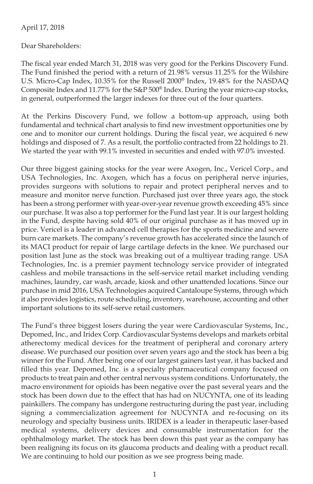## April 17, 2018

Dear Shareholders:

The fiscal year ended March 31, 2018 was very good for the Perkins Discovery Fund. The Fund finished the period with a return of 21.98% versus 11.25% for the Wilshire U.S. Micro-Cap Index, 10.35% for the Russell 2000® Index, 19.48% for the NASDAQ Composite Index and 11.77% for the S&P 500® Index. During the year micro-cap stocks, in general, outperformed the larger indexes for three out of the four quarters.

At the Perkins Discovery Fund, we follow a bottom-up approach, using both fundamental and technical chart analysis to find new investment opportunities one by one and to monitor our current holdings. During the fiscal year, we acquired 6 new holdings and disposed of 7. As a result, the portfolio contracted from 22 holdings to 21. We started the year with 99.1% invested in securities and ended with 97.0% invested.

Our three biggest gaining stocks for the year were Axogen, Inc., Vericel Corp., and USA Technologies, Inc. Axogen, which has a focus on peripheral nerve injuries, provides surgeons with solutions to repair and protect peripheral nerves and to measure and monitor nerve function. Purchased just over three years ago, the stock has been a strong performer with year-over-year revenue growth exceeding 45% since our purchase. It was also a top performer for the Fund last year. It is our largest holding in the Fund, despite having sold 40% of our original purchase as it has moved up in price. Vericel is a leader in advanced cell therapies for the sports medicine and severe burn care markets. The company's revenue growth has accelerated since the launch of its MACI product for repair of large cartilage defects in the knee. We purchased our position last June as the stock was breaking out of a multiyear trading range. USA Technologies, Inc. is a premier payment technology service provider of integrated cashless and mobile transactions in the self-service retail market including vending machines, laundry, car wash, arcade, kiosk and other unattended locations. Since our purchase in mid 2016, USA Technologies acquired Cantaloupe Systems, through which it also provides logistics, route scheduling, inventory, warehouse, accounting and other important solutions to its self-serve retail customers.

The Fund's three biggest losers during the year were Cardiovascular Systems, Inc., Depomed, Inc., and Iridex Corp. Cardiovascular Systems develops and markets orbital atherectomy medical devices for the treatment of peripheral and coronary artery disease. We purchased our position over seven years ago and the stock has been a big winner for the Fund. After being one of our largest gainers last year, it has backed and filled this year. Depomed, Inc. is a specialty pharmaceutical company focused on products to treat pain and other central nervous system conditions. Unfortunately, the macro environment for opioids has been negative over the past several years and the stock has been down due to the effect that has had on NUCYNTA, one of its leading painkillers. The company has undergone restructuring during the past year, including signing a commercialization agreement for NUCYNTA and re-focusing on its neurology and specialty business units. IRIDEX is a leader in therapeutic laser-based medical systems, delivery devices and consumable instrumentation for the ophthalmology market. The stock has been down this past year as the company has been realigning its focus on its glaucoma products and dealing with a product recall. We are continuing to hold our position as we see progress being made.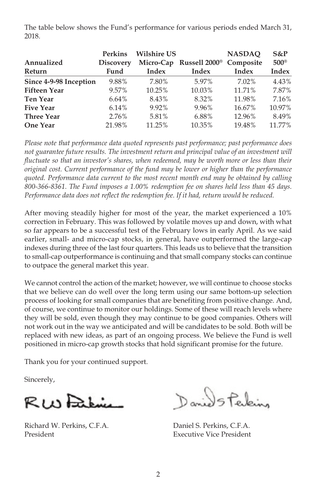The table below shows the Fund's performance for various periods ended March 31, 2018.

|                        | <b>Perkins</b>   | <b>Wilshire US</b> |                                     | <b>NASDAO</b> | $S\&P$        |
|------------------------|------------------|--------------------|-------------------------------------|---------------|---------------|
| Annualized             | <b>Discovery</b> |                    | Micro-Cap Russell 2000 <sup>®</sup> | Composite     | $500^{\circ}$ |
| Return                 | Fund             | Index              | Index                               | Index         | Index         |
| Since 4-9-98 Inception | 9.88%            | 7.80%              | 5.97%                               | $7.02\%$      | 4.43%         |
| <b>Fifteen Year</b>    | 9.57%            | 10.25%             | 10.03%                              | 11.71%        | 7.87%         |
| <b>Ten Year</b>        | 6.64%            | 8.43%              | 8.32%                               | 11.98%        | 7.16%         |
| <b>Five Year</b>       | 6.14%            | 9.92%              | 9.96%                               | 16.67%        | 10.97%        |
| <b>Three Year</b>      | 2.76%            | 5.81%              | 6.88%                               | 12.96%        | 8.49%         |
| <b>One Year</b>        | 21.98%           | 11.25%             | 10.35%                              | 19.48%        | 11.77%        |

*Please note that performance data quoted represents past performance; past performance does not guarantee future results. The investment return and principal value of an investment will fluctuate so that an investor's shares, when redeemed, may be worth more or less than their original cost. Current performance of the fund may be lower or higher than the performance quoted. Performance data current to the most recent month end may be obtained by calling 800-366-8361. The Fund imposes a 1.00% redemption fee on shares held less than 45 days. Performance data does not reflect the redemption fee. If it had, return would be reduced.*

After moving steadily higher for most of the year, the market experienced a 10% correction in February. This was followed by volatile moves up and down, with what so far appears to be a successful test of the February lows in early April. As we said earlier, small- and micro-cap stocks, in general, have outperformed the large-cap indexes during three of the last four quarters. This leads us to believe that the transition to small-cap outperformance is continuing and that small company stocks can continue to outpace the general market this year.

We cannot control the action of the market; however, we will continue to choose stocks that we believe can do well over the long term using our same bottom-up selection process of looking for small companies that are benefiting from positive change. And, of course, we continue to monitor our holdings. Some of these will reach levels where they will be sold, even though they may continue to be good companies. Others will not work out in the way we anticipated and will be candidates to be sold. Both will be replaced with new ideas, as part of an ongoing process. We believe the Fund is well positioned in micro-cap growth stocks that hold significant promise for the future.

Thank you for your continued support.

Sincerely,

RW Daking

Richard W. Perkins, C.F.A. Daniel S. Perkins, C.F.A. President Executive Vice President

Daniel Staking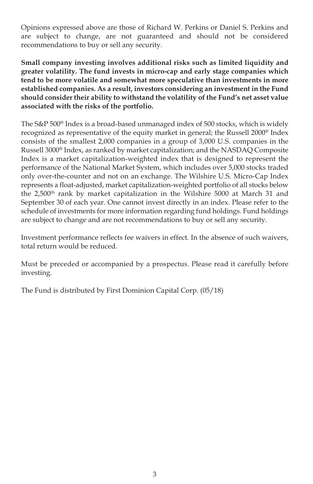Opinions expressed above are those of Richard W. Perkins or Daniel S. Perkins and are subject to change, are not guaranteed and should not be considered recommendations to buy or sell any security.

**Small company investing involves additional risks such as limited liquidity and greater volatility. The fund invests in micro-cap and early stage companies which tend to be more volatile and somewhat more speculative than investments in more established companies. As a result, investors considering an investment in the Fund should consider their ability to withstand the volatility of the Fund's net asset value associated with the risks of the portfolio.**

The S&P 500® Index is a broad-based unmanaged index of 500 stocks, which is widely recognized as representative of the equity market in general; the Russell 2000® Index consists of the smallest 2,000 companies in a group of 3,000 U.S. companies in the Russell 3000® Index, as ranked by market capitalization; and the NASDAQ Composite Index is a market capitalization-weighted index that is designed to represent the performance of the National Market System, which includes over 5,000 stocks traded only over-the-counter and not on an exchange. The Wilshire U.S. Micro-Cap Index represents a float-adjusted, market capitalization-weighted portfolio of all stocks below the 2,500th rank by market capitalization in the Wilshire 5000 at March 31 and September 30 of each year. One cannot invest directly in an index. Please refer to the schedule of investments for more information regarding fund holdings. Fund holdings are subject to change and are not recommendations to buy or sell any security.

Investment performance reflects fee waivers in effect. In the absence of such waivers, total return would be reduced.

Must be preceded or accompanied by a prospectus. Please read it carefully before investing.

The Fund is distributed by First Dominion Capital Corp. (05/18)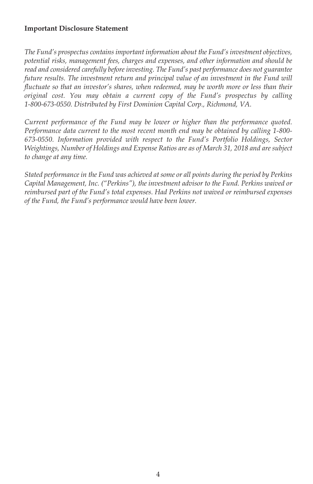## **Important Disclosure Statement**

*The Fund's prospectus contains important information about the Fund's investment objectives, potential risks, management fees, charges and expenses, and other information and should be read and considered carefully before investing. The Fund's past performance does not guarantee future results. The investment return and principal value of an investment in the Fund will fluctuate so that an investor's shares, when redeemed, may be worth more or less than their original cost. You may obtain a current copy of the Fund's prospectus by calling 1-800-673-0550. Distributed by First Dominion Capital Corp., Richmond, VA.*

*Current performance of the Fund may be lower or higher than the performance quoted. Performance data current to the most recent month end may be obtained by calling 1-800- 673-0550. Information provided with respect to the Fund's Portfolio Holdings, Sector Weightings, Number of Holdings and Expense Ratios are as of March 31, 2018 and are subject to change at any time.*

*Stated performance in the Fund was achieved at some or all points during the period by Perkins Capital Management, Inc. ("Perkins"), the investment advisor to the Fund. Perkins waived or reimbursed part of the Fund's total expenses. Had Perkins not waived or reimbursed expenses of the Fund, the Fund's performance would have been lower.*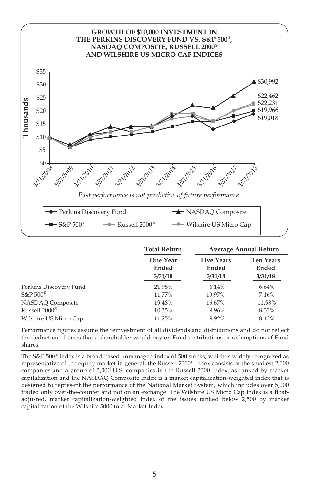

|                        | <b>Total Return</b>                 | Average Annual Return                 |                                      |  |
|------------------------|-------------------------------------|---------------------------------------|--------------------------------------|--|
|                        | <b>One Year</b><br>Ended<br>3/31/18 | <b>Five Years</b><br>Ended<br>3/31/18 | <b>Ten Years</b><br>Ended<br>3/31/18 |  |
| Perkins Discovery Fund | 21.98%                              | 6.14%                                 | 6.64%                                |  |
| $S\&P 500^{\circledR}$ | 11.77%                              | 10.97%                                | 7.16%                                |  |
| NASDAQ Composite       | 19.48%                              | 16.67%                                | 11.98%                               |  |
| Russell 2000®          | 10.35%                              | 9.96%                                 | 8.32%                                |  |
| Wilshire US Micro Cap  | 11.25%                              | 9.92%                                 | 8.43%                                |  |

Performance figures assume the reinvestment of all dividends and distributions and do not reflect the deduction of taxes that a shareholder would pay on Fund distributions or redemptions of Fund shares.

The S&P 500® Index is a broad-based unmanaged index of 500 stocks, which is widely recognized as representative of the equity market in general; the Russell 2000® Index consists of the smallest 2,000 companies and a group of 3,000 U.S. companies in the Russell 3000 Index, as ranked by market capitalization and the NASDAQ Composite Index is a market capitalization-weighted index that is designed to represent the performance of the National Market System, which includes over 5,000 traded only over-the-counter and not on an exchange. The Wilshire US Micro Cap Index is a floatadjusted, market capitalization-weighted index of the issues ranked below 2,500 by market capitalization of the Wilshire 5000 total Market Index.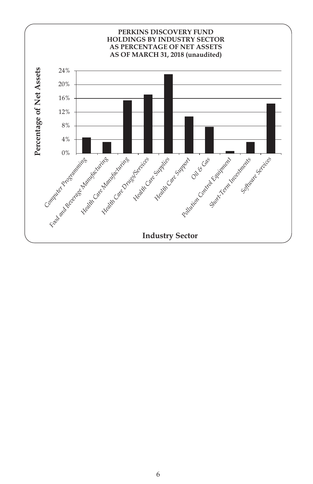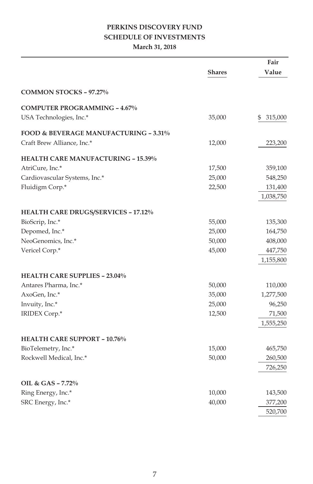# **PERKINS DISCOVERY FUND SCHEDULE OF INVESTMENTS**

# **March 31, 2018**

|                                            |               | Fair          |
|--------------------------------------------|---------------|---------------|
|                                            | <b>Shares</b> | Value         |
| <b>COMMON STOCKS - 97.27%</b>              |               |               |
| <b>COMPUTER PROGRAMMING - 4.67%</b>        |               |               |
| USA Technologies, Inc.*                    | 35,000        | \$<br>315,000 |
| FOOD & BEVERAGE MANUFACTURING - 3.31%      |               |               |
| Craft Brew Alliance, Inc.*                 | 12,000        | 223,200       |
| <b>HEALTH CARE MANUFACTURING - 15.39%</b>  |               |               |
| AtriCure, Inc.*                            | 17,500        | 359,100       |
| Cardiovascular Systems, Inc.*              | 25,000        | 548,250       |
| Fluidigm Corp.*                            | 22,500        | 131,400       |
|                                            |               | 1,038,750     |
| <b>HEALTH CARE DRUGS/SERVICES - 17.12%</b> |               |               |
| BioScrip, Inc.*                            | 55,000        | 135,300       |
| Depomed, Inc.*                             | 25,000        | 164,750       |
| NeoGenomics, Inc.*                         | 50,000        | 408,000       |
| Vericel Corp.*                             | 45,000        | 447,750       |
|                                            |               | 1,155,800     |
| <b>HEALTH CARE SUPPLIES - 23.04%</b>       |               |               |
| Antares Pharma, Inc.*                      | 50,000        | 110,000       |
| AxoGen, Inc.*                              | 35,000        | 1,277,500     |
| Invuity, Inc.*                             | 25,000        | 96,250        |
| IRIDEX Corp.*                              | 12,500        | 71,500        |
|                                            |               | 1,555,250     |
| <b>HEALTH CARE SUPPORT - 10.76%</b>        |               |               |
| BioTelemetry, Inc.*                        | 15,000        | 465,750       |
| Rockwell Medical, Inc.*                    | 50,000        | 260,500       |
|                                            |               | 726,250       |
| OIL & GAS - 7.72%                          |               |               |
| Ring Energy, Inc.*                         | 10,000        | 143,500       |
| SRC Energy, Inc.*                          | 40,000        | 377,200       |
|                                            |               | 520,700       |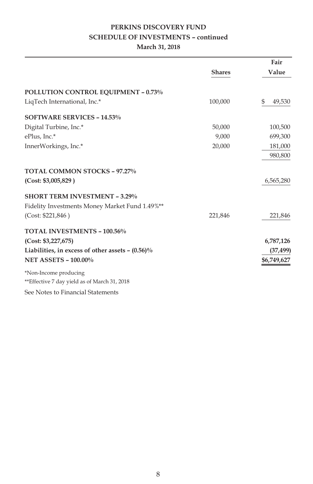# **PERKINS DISCOVERY FUND SCHEDULE OF INVESTMENTS – continued**

# **March 31, 2018**

|                                                     |               | Fair         |
|-----------------------------------------------------|---------------|--------------|
|                                                     | <b>Shares</b> | Value        |
| <b>POLLUTION CONTROL EQUIPMENT - 0.73%</b>          |               |              |
| LigTech International, Inc.*                        | 100,000       | \$<br>49,530 |
| <b>SOFTWARE SERVICES - 14.53%</b>                   |               |              |
| Digital Turbine, Inc.*                              | 50,000        | 100,500      |
| ePlus, Inc.*                                        | 9,000         | 699,300      |
| InnerWorkings, Inc.*                                | 20,000        | 181,000      |
|                                                     |               | 980,800      |
| TOTAL COMMON STOCKS - 97.27%                        |               |              |
| (Cost: \$3,005,829)                                 |               | 6,565,280    |
| <b>SHORT TERM INVESTMENT - 3.29%</b>                |               |              |
| Fidelity Investments Money Market Fund 1.49%**      |               |              |
| (Cost: \$221,846)                                   | 221,846       | 221,846      |
| <b>TOTAL INVESTMENTS - 100.56%</b>                  |               |              |
| (Cost: \$3,227,675)                                 |               | 6,787,126    |
| Liabilities, in excess of other assets $- (0.56)\%$ |               | (37, 499)    |
| <b>NET ASSETS - 100.00%</b>                         |               | \$6,749,627  |
| *Non-Income producing                               |               |              |
| **Effective 7 day yield as of March 31, 2018        |               |              |
| See Notes to Financial Statements                   |               |              |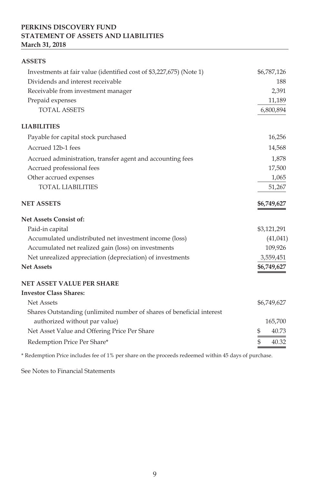## **PERKINS DISCOVERY FUND STATEMENT OF ASSETS AND LIABILITIES March 31, 2018**

| <b>ASSETS</b>                                                         |             |
|-----------------------------------------------------------------------|-------------|
| Investments at fair value (identified cost of \$3,227,675) (Note 1)   | \$6,787,126 |
| Dividends and interest receivable                                     | 188         |
| Receivable from investment manager                                    | 2,391       |
| Prepaid expenses                                                      | 11,189      |
| <b>TOTAL ASSETS</b>                                                   | 6,800,894   |
| <b>LIABILITIES</b>                                                    |             |
| Payable for capital stock purchased                                   | 16,256      |
| Accrued 12b-1 fees                                                    | 14,568      |
| Accrued administration, transfer agent and accounting fees            | 1,878       |
| Accrued professional fees                                             | 17,500      |
| Other accrued expenses                                                | 1,065       |
| <b>TOTAL LIABILITIES</b>                                              | 51,267      |
| <b>NET ASSETS</b>                                                     | \$6,749,627 |
| Net Assets Consist of:                                                |             |
| Paid-in capital                                                       | \$3,121,291 |
| Accumulated undistributed net investment income (loss)                | (41, 041)   |
| Accumulated net realized gain (loss) on investments                   | 109,926     |
| Net unrealized appreciation (depreciation) of investments             | 3,559,451   |
| <b>Net Assets</b>                                                     | \$6,749,627 |
| <b>NET ASSET VALUE PER SHARE</b>                                      |             |
| <b>Investor Class Shares:</b>                                         |             |
| Net Assets                                                            | \$6,749,627 |
| Shares Outstanding (unlimited number of shares of beneficial interest |             |
| authorized without par value)                                         | 165,700     |
| Net Asset Value and Offering Price Per Share                          | 40.73<br>\$ |
| Redemption Price Per Share*                                           | \$<br>40.32 |

\* Redemption Price includes fee of 1% per share on the proceeds redeemed within 45 days of purchase.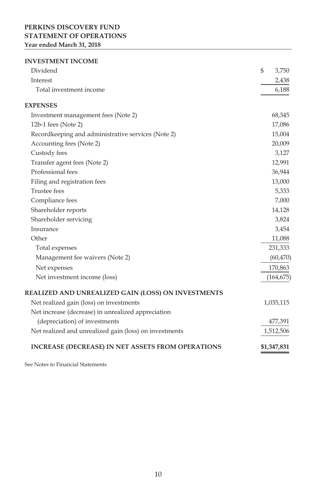#### **PERKINS DISCOVERY FUND STATEMENT OF OPERATIONS Year ended March 31, 2018**

#### **INVESTMENT INCOME**

| Dividend                                                 | \$<br>3,750 |
|----------------------------------------------------------|-------------|
| Interest                                                 | 2,438       |
| Total investment income                                  | 6,188       |
| <b>EXPENSES</b>                                          |             |
| Investment management fees (Note 2)                      | 68,345      |
| 12b-1 fees (Note 2)                                      | 17,086      |
| Recordkeeping and administrative services (Note 2)       | 15,004      |
| Accounting fees (Note 2)                                 | 20,009      |
| Custody fees                                             | 3,127       |
| Transfer agent fees (Note 2)                             | 12,991      |
| Professional fees                                        | 36,944      |
| Filing and registration fees                             | 13,000      |
| Trustee fees                                             | 5,333       |
| Compliance fees                                          | 7,000       |
| Shareholder reports                                      | 14,128      |
| Shareholder servicing                                    | 3,824       |
| Insurance                                                | 3,454       |
| Other                                                    | 11,088      |
| Total expenses                                           | 231,333     |
| Management fee waivers (Note 2)                          | (60, 470)   |
| Net expenses                                             | 170,863     |
| Net investment income (loss)                             | (164, 675)  |
| REALIZED AND UNREALIZED GAIN (LOSS) ON INVESTMENTS       |             |
| Net realized gain (loss) on investments                  | 1,035,115   |
| Net increase (decrease) in unrealized appreciation       |             |
| (depreciation) of investments                            | 477,391     |
| Net realized and unrealized gain (loss) on investments   | 1,512,506   |
| <b>INCREASE (DECREASE) IN NET ASSETS FROM OPERATIONS</b> | \$1,347,831 |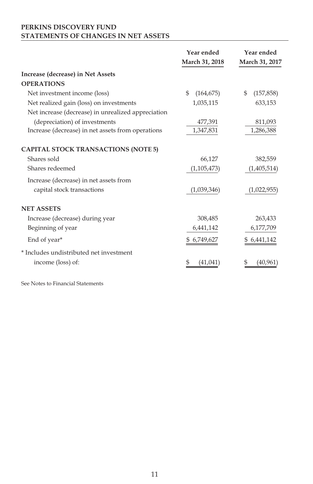## **PERKINS DISCOVERY FUND STATEMENTS OF CHANGES IN NET ASSETS**

|                                                    | Year ended<br>March 31, 2018 | Year ended<br>March 31, 2017 |
|----------------------------------------------------|------------------------------|------------------------------|
| Increase (decrease) in Net Assets                  |                              |                              |
| <b>OPERATIONS</b>                                  |                              |                              |
| Net investment income (loss)                       | \$<br>(164, 675)             | \$<br>(157, 858)             |
| Net realized gain (loss) on investments            | 1,035,115                    | 633,153                      |
| Net increase (decrease) in unrealized appreciation |                              |                              |
| (depreciation) of investments                      | 477,391                      | 811,093                      |
| Increase (decrease) in net assets from operations  | 1,347,831                    | 1,286,388                    |
| <b>CAPITAL STOCK TRANSACTIONS (NOTE 5)</b>         |                              |                              |
| Shares sold                                        | 66,127                       | 382,559                      |
| Shares redeemed                                    | (1,105,473)                  | (1,405,514)                  |
| Increase (decrease) in net assets from             |                              |                              |
| capital stock transactions                         | (1,039,346)                  | (1,022,955)                  |
| <b>NET ASSETS</b>                                  |                              |                              |
| Increase (decrease) during year                    | 308,485                      | 263,433                      |
| Beginning of year                                  | 6,441,142                    | 6,177,709                    |
| End of year*                                       | \$6,749,627                  | \$6,441,142                  |
| * Includes undistributed net investment            |                              |                              |
| income (loss) of:                                  | \$<br>(41, 041)              | (40,961)                     |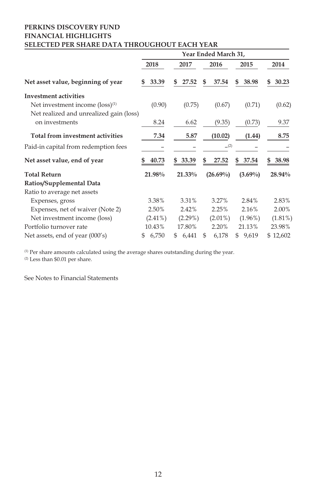#### **PERKINS DISCOVERY FUND FINANCIAL HIGHLIGHTS SELECTED PER SHARE DATA THROUGHOUT EACH YEAR**

|                                             |             |             | Year Ended March 31, |             |             |
|---------------------------------------------|-------------|-------------|----------------------|-------------|-------------|
|                                             | 2018        | 2017        | 2016                 | 2015        | 2014        |
| Net asset value, beginning of year          | 33.39<br>S  | 27.52<br>\$ | 37.54<br>\$          | 38.98<br>\$ | 30.23<br>\$ |
| Investment activities                       |             |             |                      |             |             |
| Net investment income (loss) <sup>(1)</sup> | (0.90)      | (0.75)      | (0.67)               | (0.71)      | (0.62)      |
| Net realized and unrealized gain (loss)     |             |             |                      |             |             |
| on investments                              | 8.24        | 6.62        | (9.35)               | (0.73)      | 9.37        |
| Total from investment activities            | 7.34        | 5.87        | (10.02)              | (1.44)      | 8.75        |
| Paid-in capital from redemption fees        |             |             | (2)                  |             |             |
| Net asset value, end of year                | 40.73       | 33.39       | 27.52<br>S           | 37.54       | 38.98       |
| <b>Total Return</b>                         | 21.98%      | 21.33%      | $(26.69\%)$          | $(3.69\%)$  | 28.94%      |
| Ratios/Supplemental Data                    |             |             |                      |             |             |
| Ratio to average net assets                 |             |             |                      |             |             |
| Expenses, gross                             | 3.38%       | 3.31%       | 3.27%                | 2.84%       | 2.83%       |
| Expenses, net of waiver (Note 2)            | 2.50%       | 2.42%       | 2.25%                | 2.16%       | 2.00%       |
| Net investment income (loss)                | $(2.41\%)$  | $(2.29\%)$  | $(2.01\%)$           | $(1.96\%)$  | $(1.81\%)$  |
| Portfolio turnover rate                     | 10.43%      | 17.80%      | 2.20%                | 21.13%      | 23.98%      |
| Net assets, end of year (000's)             | 6,750<br>\$ | 6,441<br>S  | 6,178<br>£.          | 9,619<br>S  | \$12,602    |

(1) Per share amounts calculated using the average shares outstanding during the year.

(2) Less than \$0.01 per share.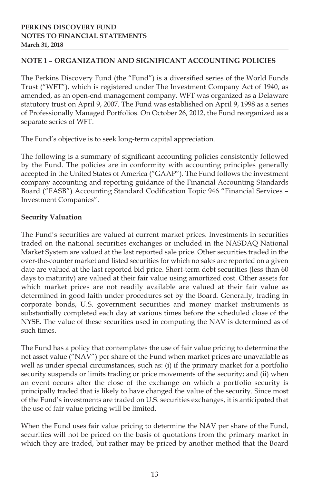# **NOTE 1 – ORGANIZATION AND SIGNIFICANT ACCOUNTING POLICIES**

The Perkins Discovery Fund (the "Fund") is a diversified series of the World Funds Trust ("WFT"), which is registered under The Investment Company Act of 1940, as amended, as an open-end management company. WFT was organized as a Delaware statutory trust on April 9, 2007. The Fund was established on April 9, 1998 as a series of Professionally Managed Portfolios. On October 26, 2012, the Fund reorganized as a separate series of WFT.

The Fund's objective is to seek long-term capital appreciation.

The following is a summary of significant accounting policies consistently followed by the Fund. The policies are in conformity with accounting principles generally accepted in the United States of America ("GAAP"). The Fund follows the investment company accounting and reporting guidance of the Financial Accounting Standards Board ("FASB") Accounting Standard Codification Topic 946 "Financial Services – Investment Companies".

## **Security Valuation**

The Fund's securities are valued at current market prices. Investments in securities traded on the national securities exchanges or included in the NASDAQ National Market System are valued at the last reported sale price. Other securities traded in the over-the-counter market and listed securities for which no sales are reported on a given date are valued at the last reported bid price. Short-term debt securities (less than 60 days to maturity) are valued at their fair value using amortized cost. Other assets for which market prices are not readily available are valued at their fair value as determined in good faith under procedures set by the Board. Generally, trading in corporate bonds, U.S. government securities and money market instruments is substantially completed each day at various times before the scheduled close of the NYSE. The value of these securities used in computing the NAV is determined as of such times.

The Fund has a policy that contemplates the use of fair value pricing to determine the net asset value ("NAV") per share of the Fund when market prices are unavailable as well as under special circumstances, such as: (i) if the primary market for a portfolio security suspends or limits trading or price movements of the security; and (ii) when an event occurs after the close of the exchange on which a portfolio security is principally traded that is likely to have changed the value of the security. Since most of the Fund's investments are traded on U.S. securities exchanges, it is anticipated that the use of fair value pricing will be limited.

When the Fund uses fair value pricing to determine the NAV per share of the Fund, securities will not be priced on the basis of quotations from the primary market in which they are traded, but rather may be priced by another method that the Board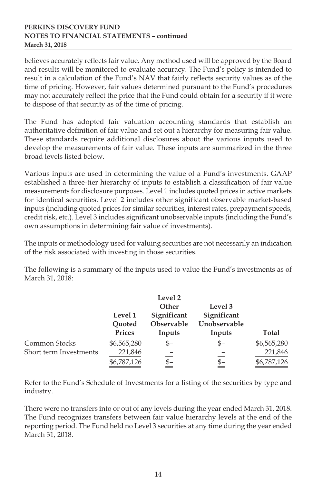#### **PERKINS DISCOVERY FUND NOTES TO FINANCIAL STATEMENTS – continued March 31, 2018**

believes accurately reflects fair value. Any method used will be approved by the Board and results will be monitored to evaluate accuracy. The Fund's policy is intended to result in a calculation of the Fund's NAV that fairly reflects security values as of the time of pricing. However, fair values determined pursuant to the Fund's procedures may not accurately reflect the price that the Fund could obtain for a security if it were to dispose of that security as of the time of pricing.

The Fund has adopted fair valuation accounting standards that establish an authoritative definition of fair value and set out a hierarchy for measuring fair value. These standards require additional disclosures about the various inputs used to develop the measurements of fair value. These inputs are summarized in the three broad levels listed below.

Various inputs are used in determining the value of a Fund's investments. GAAP established a three-tier hierarchy of inputs to establish a classification of fair value measurements for disclosure purposes. Level 1 includes quoted prices in active markets for identical securities. Level 2 includes other significant observable market-based inputs (including quoted prices for similar securities, interest rates, prepayment speeds, credit risk, etc.). Level 3 includes significant unobservable inputs (including the Fund's own assumptions in determining fair value of investments).

The inputs or methodology used for valuing securities are not necessarily an indication of the risk associated with investing in those securities.

The following is a summary of the inputs used to value the Fund's investments as of March 31, 2018:

|                        | Level 1<br>Ouoted<br>Prices | Level 2<br>Other<br>Significant<br>Observable<br>Inputs | Level 3<br>Significant<br>Unobservable<br>Inputs | Total       |
|------------------------|-----------------------------|---------------------------------------------------------|--------------------------------------------------|-------------|
| Common Stocks          | \$6,565,280                 | $S-$                                                    | \$–                                              | \$6,565,280 |
| Short term Investments | 221,846                     |                                                         |                                                  | 221,846     |
|                        | \$6,787,126                 |                                                         | \$–                                              | \$6,787,126 |

Refer to the Fund's Schedule of Investments for a listing of the securities by type and industry.

There were no transfers into or out of any levels during the year ended March 31, 2018. The Fund recognizes transfers between fair value hierarchy levels at the end of the reporting period. The Fund held no Level 3 securities at any time during the year ended March 31, 2018.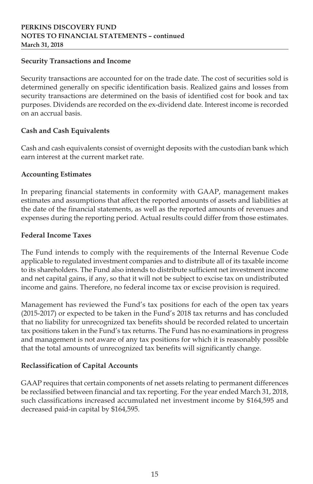## **Security Transactions and Income**

Security transactions are accounted for on the trade date. The cost of securities sold is determined generally on specific identification basis. Realized gains and losses from security transactions are determined on the basis of identified cost for book and tax purposes. Dividends are recorded on the ex-dividend date. Interest income is recorded on an accrual basis.

# **Cash and Cash Equivalents**

Cash and cash equivalents consist of overnight deposits with the custodian bank which earn interest at the current market rate.

#### **Accounting Estimates**

In preparing financial statements in conformity with GAAP, management makes estimates and assumptions that affect the reported amounts of assets and liabilities at the date of the financial statements, as well as the reported amounts of revenues and expenses during the reporting period. Actual results could differ from those estimates.

#### **Federal Income Taxes**

The Fund intends to comply with the requirements of the Internal Revenue Code applicable to regulated investment companies and to distribute all of its taxable income to its shareholders. The Fund also intends to distribute sufficient net investment income and net capital gains, if any, so that it will not be subject to excise tax on undistributed income and gains. Therefore, no federal income tax or excise provision is required.

Management has reviewed the Fund's tax positions for each of the open tax years (2015-2017) or expected to be taken in the Fund's 2018 tax returns and has concluded that no liability for unrecognized tax benefits should be recorded related to uncertain tax positions taken in the Fund's tax returns. The Fund has no examinations in progress and management is not aware of any tax positions for which it is reasonably possible that the total amounts of unrecognized tax benefits will significantly change.

## **Reclassification of Capital Accounts**

GAAP requires that certain components of net assets relating to permanent differences be reclassified between financial and tax reporting. For the year ended March 31, 2018, such classifications increased accumulated net investment income by \$164,595 and decreased paid-in capital by \$164,595.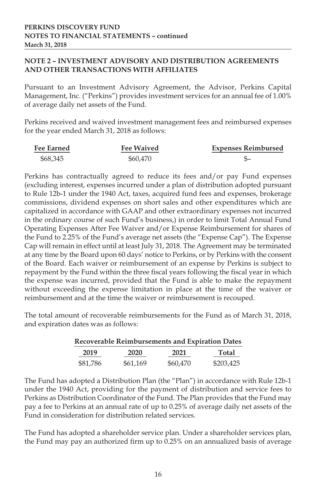# **NOTE 2 – INVESTMENT ADVISORY AND DISTRIBUTION AGREEMENTS AND OTHER TRANSACTIONS WITH AFFILIATES**

Pursuant to an Investment Advisory Agreement, the Advisor, Perkins Capital Management, Inc. ("Perkins") provides investment services for an annual fee of 1.00% of average daily net assets of the Fund.

Perkins received and waived investment management fees and reimbursed expenses for the year ended March 31, 2018 as follows:

| <b>Fee Earned</b> | <b>Fee Waived</b> | <b>Expenses Reimbursed</b> |
|-------------------|-------------------|----------------------------|
| \$68,345          | \$60,470          |                            |

Perkins has contractually agreed to reduce its fees and/or pay Fund expenses (excluding interest, expenses incurred under a plan of distribution adopted pursuant to Rule 12b-1 under the 1940 Act, taxes, acquired fund fees and expenses, brokerage commissions, dividend expenses on short sales and other expenditures which are capitalized in accordance with GAAP and other extraordinary expenses not incurred in the ordinary course of such Fund's business,) in order to limit Total Annual Fund Operating Expenses After Fee Waiver and/or Expense Reimbursement for shares of the Fund to 2.25% of the Fund's average net assets (the "Expense Cap"). The Expense Cap will remain in effect until at least July 31, 2018. The Agreement may be terminated at any time by the Board upon 60 days' notice to Perkins, or by Perkins with the consent of the Board. Each waiver or reimbursement of an expense by Perkins is subject to repayment by the Fund within the three fiscal years following the fiscal year in which the expense was incurred, provided that the Fund is able to make the repayment without exceeding the expense limitation in place at the time of the waiver or reimbursement and at the time the waiver or reimbursement is recouped.

The total amount of recoverable reimbursements for the Fund as of March 31, 2018, and expiration dates was as follows:

| <b>Recoverable Reimbursements and Expiration Dates</b> |          |          |           |
|--------------------------------------------------------|----------|----------|-----------|
| 2019                                                   | 2020     | 2021     | Total     |
| \$81,786                                               | \$61,169 | \$60,470 | \$203,425 |

The Fund has adopted a Distribution Plan (the "Plan") in accordance with Rule 12b-1 under the 1940 Act, providing for the payment of distribution and service fees to Perkins as Distribution Coordinator of the Fund. The Plan provides that the Fund may pay a fee to Perkins at an annual rate of up to 0.25% of average daily net assets of the Fund in consideration for distribution related services.

The Fund has adopted a shareholder service plan. Under a shareholder services plan, the Fund may pay an authorized firm up to 0.25% on an annualized basis of average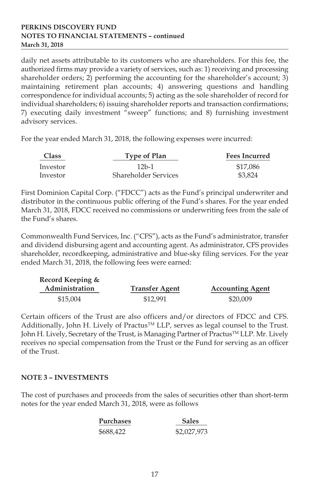#### **PERKINS DISCOVERY FUND NOTES TO FINANCIAL STATEMENTS – continued March 31, 2018**

daily net assets attributable to its customers who are shareholders. For this fee, the authorized firms may provide a variety of services, such as: 1) receiving and processing shareholder orders; 2) performing the accounting for the shareholder's account; 3) maintaining retirement plan accounts; 4) answering questions and handling correspondence for individual accounts; 5) acting as the sole shareholder of record for individual shareholders; 6) issuing shareholder reports and transaction confirmations; 7) executing daily investment "sweep" functions; and 8) furnishing investment advisory services.

For the year ended March 31, 2018, the following expenses were incurred:

| <b>Class</b><br><b>Type of Plan</b> |                             | <b>Fees Incurred</b> |
|-------------------------------------|-----------------------------|----------------------|
| Investor                            | $12h-1$                     | \$17.086             |
| Investor                            | <b>Shareholder Services</b> | \$3,824              |

First Dominion Capital Corp. ("FDCC") acts as the Fund's principal underwriter and distributor in the continuous public offering of the Fund's shares. For the year ended March 31, 2018, FDCC received no commissions or underwriting fees from the sale of the Fund's shares.

Commonwealth Fund Services, Inc. ("CFS"), acts as the Fund's administrator, transfer and dividend disbursing agent and accounting agent. As administrator, CFS provides shareholder, recordkeeping, administrative and blue-sky filing services. For the year ended March 31, 2018, the following fees were earned:

| Record Keeping & |                       |                         |
|------------------|-----------------------|-------------------------|
| Administration   | <b>Transfer Agent</b> | <b>Accounting Agent</b> |
| \$15,004         | \$12,991              | \$20,009                |

Certain officers of the Trust are also officers and/or directors of FDCC and CFS. Additionally, John H. Lively of Practus™ LLP, serves as legal counsel to the Trust. John H. Lively, Secretary of the Trust, is Managing Partner of Practus™ LLP. Mr. Lively receives no special compensation from the Trust or the Fund for serving as an officer of the Trust.

## **NOTE 3 – INVESTMENTS**

The cost of purchases and proceeds from the sales of securities other than short-term notes for the year ended March 31, 2018, were as follows

| <b>Purchases</b> | <b>Sales</b> |
|------------------|--------------|
| \$688,422        | \$2,027,973  |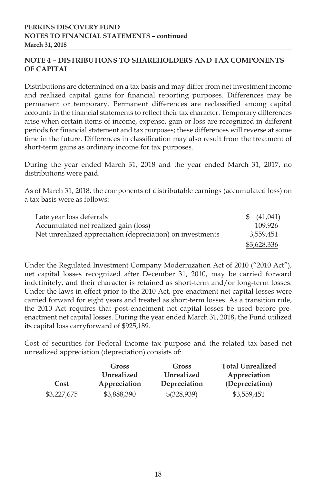## **PERKINS DISCOVERY FUND NOTES TO FINANCIAL STATEMENTS – continued March 31, 2018**

## **NOTE 4 – DISTRIBUTIONS TO SHAREHOLDERS AND TAX COMPONENTS OF CAPITAL**

Distributions are determined on a tax basis and may differ from net investment income and realized capital gains for financial reporting purposes. Differences may be permanent or temporary. Permanent differences are reclassified among capital accounts in the financial statements to reflect their tax character. Temporary differences arise when certain items of income, expense, gain or loss are recognized in different periods for financial statement and tax purposes; these differences will reverse at some time in the future. Differences in classification may also result from the treatment of short-term gains as ordinary income for tax purposes.

During the year ended March 31, 2018 and the year ended March 31, 2017, no distributions were paid.

As of March 31, 2018, the components of distributable earnings (accumulated loss) on a tax basis were as follows:

| Late year loss deferrals                                  | $\frac{1}{2}$ (41,041) |
|-----------------------------------------------------------|------------------------|
| Accumulated net realized gain (loss)                      | 109.926                |
| Net unrealized appreciation (depreciation) on investments | 3,559,451              |
|                                                           | \$3,628,336            |

Under the Regulated Investment Company Modernization Act of 2010 ("2010 Act"), net capital losses recognized after December 31, 2010, may be carried forward indefinitely, and their character is retained as short-term and/or long-term losses. Under the laws in effect prior to the 2010 Act, pre-enactment net capital losses were carried forward for eight years and treated as short-term losses. As a transition rule, the 2010 Act requires that post-enactment net capital losses be used before preenactment net capital losses. During the year ended March 31, 2018, the Fund utilized its capital loss carryforward of \$925,189.

Cost of securities for Federal Income tax purpose and the related tax-based net unrealized appreciation (depreciation) consists of:

|             | <b>Gross</b> | Gross        | <b>Total Unrealized</b> |
|-------------|--------------|--------------|-------------------------|
|             | Unrealized   | Unrealized   | Appreciation            |
| Cost        | Appreciation | Depreciation | (Depreciation)          |
| \$3,227,675 | \$3,888,390  | \$(328,939)  | \$3,559,451             |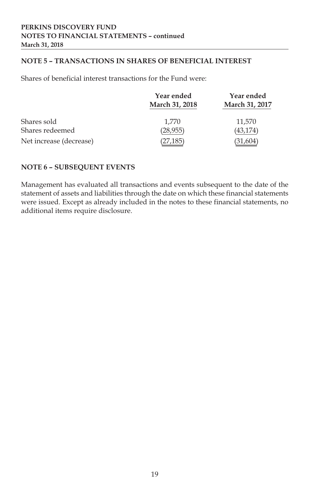## **NOTE 5 – TRANSACTIONS IN SHARES OF BENEFICIAL INTEREST**

Shares of beneficial interest transactions for the Fund were:

|                         | Year ended<br>March 31, 2018 | Year ended<br>March 31, 2017 |  |
|-------------------------|------------------------------|------------------------------|--|
| Shares sold             | 1.770                        | 11,570                       |  |
| Shares redeemed         | (28, 955)                    | (43, 174)                    |  |
| Net increase (decrease) | 27,185)                      | (31,604)                     |  |

# **NOTE 6 – SUBSEQUENT EVENTS**

Management has evaluated all transactions and events subsequent to the date of the statement of assets and liabilities through the date on which these financial statements were issued. Except as already included in the notes to these financial statements, no additional items require disclosure.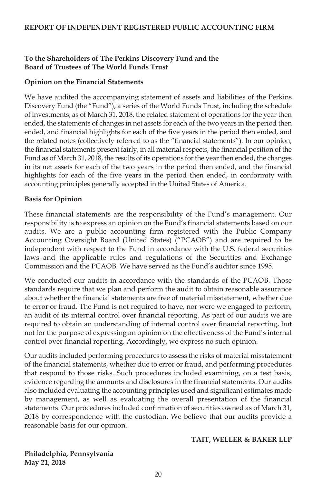## **REPORT OF INDEPENDENT REGISTERED PUBLIC ACCOUNTING FIRM**

# **To the Shareholders of The Perkins Discovery Fund and the Board of Trustees of The World Funds Trust**

#### **Opinion on the Financial Statements**

We have audited the accompanying statement of assets and liabilities of the Perkins Discovery Fund (the "Fund"), a series of the World Funds Trust, including the schedule of investments, as of March 31, 2018, the related statement of operations for the year then ended, the statements of changes in net assets for each of the two years in the period then ended, and financial highlights for each of the five years in the period then ended, and the related notes (collectively referred to as the "financial statements"). In our opinion, the financial statements present fairly, in all material respects, the financial position of the Fund as of March 31, 2018, the results of its operations for the year then ended, the changes in its net assets for each of the two years in the period then ended, and the financial highlights for each of the five years in the period then ended, in conformity with accounting principles generally accepted in the United States of America.

#### **Basis for Opinion**

These financial statements are the responsibility of the Fund's management. Our responsibility is to express an opinion on the Fund's financial statements based on our audits. We are a public accounting firm registered with the Public Company Accounting Oversight Board (United States) ("PCAOB") and are required to be independent with respect to the Fund in accordance with the U.S. federal securities laws and the applicable rules and regulations of the Securities and Exchange Commission and the PCAOB. We have served as the Fund's auditor since 1995.

We conducted our audits in accordance with the standards of the PCAOB. Those standards require that we plan and perform the audit to obtain reasonable assurance about whether the financial statements are free of material misstatement, whether due to error or fraud. The Fund is not required to have, nor were we engaged to perform, an audit of its internal control over financial reporting. As part of our audits we are required to obtain an understanding of internal control over financial reporting, but not for the purpose of expressing an opinion on the effectiveness of the Fund's internal control over financial reporting. Accordingly, we express no such opinion.

Our audits included performing procedures to assess the risks of material misstatement of the financial statements, whether due to error or fraud, and performing procedures that respond to those risks. Such procedures included examining, on a test basis, evidence regarding the amounts and disclosures in the financial statements. Our audits also included evaluating the accounting principles used and significant estimates made by management, as well as evaluating the overall presentation of the financial statements. Our procedures included confirmation of securities owned as of March 31, 2018 by correspondence with the custodian. We believe that our audits provide a reasonable basis for our opinion.

#### **TAIT, WELLER & BAKER LLP**

**Philadelphia, Pennsylvania May 21, 2018**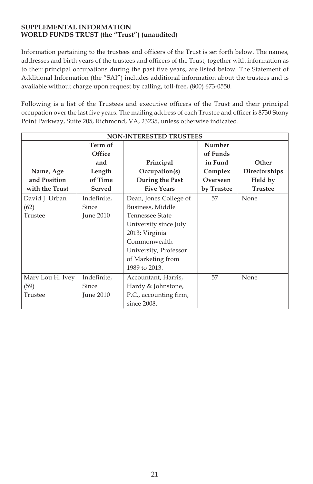Information pertaining to the trustees and officers of the Trust is set forth below. The names, addresses and birth years of the trustees and officers of the Trust, together with information as to their principal occupations during the past five years, are listed below. The Statement of Additional Information (the "SAI") includes additional information about the trustees and is available without charge upon request by calling, toll-free, (800) 673-0550.

Following is a list of the Trustees and executive officers of the Trust and their principal occupation over the last five years. The mailing address of each Trustee and officer is 8730 Stony Point Parkway, Suite 205, Richmond, VA, 23235, unless otherwise indicated.

| <b>NON-INTERESTED TRUSTEES</b> |              |                        |            |                |
|--------------------------------|--------------|------------------------|------------|----------------|
|                                | Term of      |                        | Number     |                |
|                                | Office       |                        | of Funds   |                |
|                                | and          | Principal              | in Fund    | Other          |
| Name, Age                      | Length       | Occupation(s)          | Complex    | Directorships  |
| and Position                   | of Time      | During the Past        | Overseen   | Held by        |
| with the Trust                 | Served       | <b>Five Years</b>      | by Trustee | <b>Trustee</b> |
| David J. Urban                 | Indefinite,  | Dean, Jones College of | 57         | None           |
| (62)                           | <b>Since</b> | Business, Middle       |            |                |
| Trustee                        | June 2010    | <b>Tennessee State</b> |            |                |
|                                |              | University since July  |            |                |
|                                |              | 2013; Virginia         |            |                |
|                                |              | Commonwealth           |            |                |
|                                |              | University, Professor  |            |                |
|                                |              | of Marketing from      |            |                |
|                                |              | 1989 to 2013.          |            |                |
| Mary Lou H. Ivey               | Indefinite,  | Accountant, Harris,    | 57         | None           |
| (59)                           | Since        | Hardy & Johnstone,     |            |                |
| Trustee                        | June 2010    | P.C., accounting firm, |            |                |
|                                |              | since 2008.            |            |                |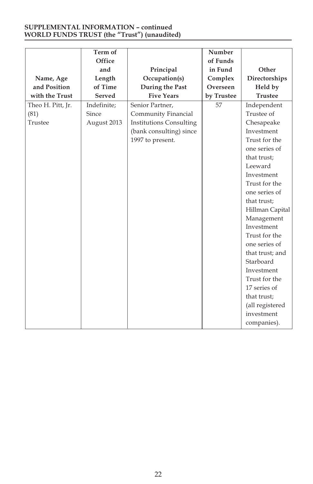|                   | Term of     |                                | Number     |                           |
|-------------------|-------------|--------------------------------|------------|---------------------------|
|                   | Office      |                                | of Funds   |                           |
|                   | and         | Principal                      | in Fund    | Other                     |
| Name, Age         | Length      | Occupation(s)                  | Complex    | Directorships             |
| and Position      | of Time     | During the Past                | Overseen   | Held by                   |
| with the Trust    | Served      | <b>Five Years</b>              | by Trustee | <b>Trustee</b>            |
|                   |             |                                | 57         |                           |
| Theo H. Pitt, Jr. | Indefinite; | Senior Partner,                |            | Independent<br>Trustee of |
| (81)              | Since       | Community Financial            |            |                           |
| Trustee           | August 2013 | <b>Institutions Consulting</b> |            | Chesapeake                |
|                   |             | (bank consulting) since        |            | Investment                |
|                   |             | 1997 to present.               |            | Trust for the             |
|                   |             |                                |            | one series of             |
|                   |             |                                |            | that trust;               |
|                   |             |                                |            | Leeward                   |
|                   |             |                                |            | Investment                |
|                   |             |                                |            | Trust for the             |
|                   |             |                                |            | one series of             |
|                   |             |                                |            | that trust;               |
|                   |             |                                |            | Hillman Capital           |
|                   |             |                                |            | Management                |
|                   |             |                                |            | Investment                |
|                   |             |                                |            | Trust for the             |
|                   |             |                                |            | one series of             |
|                   |             |                                |            | that trust; and           |
|                   |             |                                |            | Starboard                 |
|                   |             |                                |            | Investment                |
|                   |             |                                |            | Trust for the             |
|                   |             |                                |            | 17 series of              |
|                   |             |                                |            | that trust;               |
|                   |             |                                |            | (all registered           |
|                   |             |                                |            | investment                |
|                   |             |                                |            | companies).               |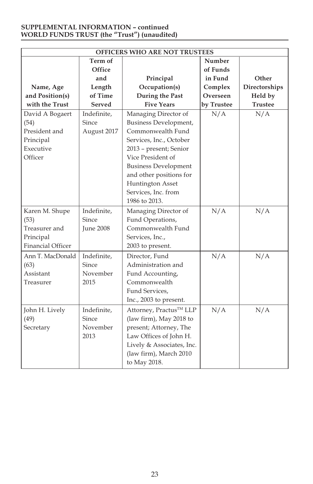| OFFICERS WHO ARE NOT TRUSTEES |                  |                                    |            |                |  |
|-------------------------------|------------------|------------------------------------|------------|----------------|--|
|                               | Term of          |                                    | Number     |                |  |
|                               | Office           |                                    | of Funds   |                |  |
|                               | and              | Principal                          | in Fund    | Other          |  |
| Name, Age                     | Length           | Occupation(s)                      | Complex    | Directorships  |  |
| and Position(s)               | of Time          | During the Past                    | Overseen   | Held by        |  |
| with the Trust                | Served           | <b>Five Years</b>                  | by Trustee | <b>Trustee</b> |  |
| David A Bogaert               | Indefinite,      | Managing Director of               | N/A        | N/A            |  |
| (54)                          | Since            | Business Development,              |            |                |  |
| President and                 | August 2017      | Commonwealth Fund                  |            |                |  |
| Principal                     |                  | Services, Inc., October            |            |                |  |
| Executive                     |                  | 2013 - present; Senior             |            |                |  |
| Officer                       |                  | Vice President of                  |            |                |  |
|                               |                  | <b>Business Development</b>        |            |                |  |
|                               |                  | and other positions for            |            |                |  |
|                               |                  | Huntington Asset                   |            |                |  |
|                               |                  | Services, Inc. from                |            |                |  |
|                               |                  | 1986 to 2013.                      |            |                |  |
| Karen M. Shupe                | Indefinite,      | Managing Director of               | N/A        | N/A            |  |
| (53)                          | Since            | Fund Operations,                   |            |                |  |
| Treasurer and                 | <b>June 2008</b> | Commonwealth Fund                  |            |                |  |
| Principal                     |                  | Services, Inc.,                    |            |                |  |
| Financial Officer             |                  | 2003 to present.                   |            |                |  |
| Ann T. MacDonald              | Indefinite,      | Director, Fund                     | N/A        | N/A            |  |
| (63)                          | Since            | Administration and                 |            |                |  |
| Assistant                     | November         | Fund Accounting,                   |            |                |  |
| Treasurer                     | 2015             | Commonwealth                       |            |                |  |
|                               |                  | Fund Services,                     |            |                |  |
|                               |                  | Inc., 2003 to present.             |            |                |  |
| John H. Lively                | Indefinite,      | Attorney, Practus <sup>™</sup> LLP | N/A        | N/A            |  |
| (49)                          | Since            | (law firm), May 2018 to            |            |                |  |
| Secretary                     | November         | present; Attorney, The             |            |                |  |
|                               | 2013             | Law Offices of John H.             |            |                |  |
|                               |                  | Lively & Associates, Inc.          |            |                |  |
|                               |                  | (law firm), March 2010             |            |                |  |
|                               |                  | to May 2018.                       |            |                |  |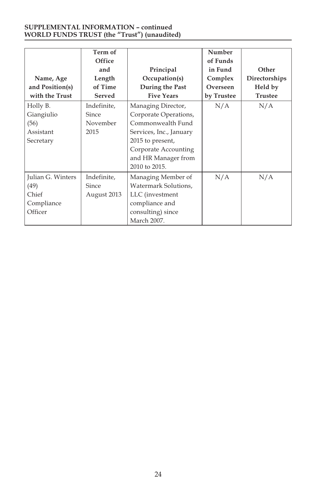| Name, Age<br>and Position(s)<br>with the Trust | Term of<br>Office<br>and<br>Length<br>of Time<br><b>Served</b> | Principal<br>Occupation(s)<br>During the Past<br><b>Five Years</b> | Number<br>of Funds<br>in Fund<br>Complex<br>Overseen<br>by Trustee | Other<br>Directorships<br>Held by<br><b>Trustee</b> |
|------------------------------------------------|----------------------------------------------------------------|--------------------------------------------------------------------|--------------------------------------------------------------------|-----------------------------------------------------|
| Holly B.                                       | Indefinite,                                                    | Managing Director,                                                 | N/A                                                                | N/A                                                 |
| Giangiulio                                     | Since                                                          | Corporate Operations,                                              |                                                                    |                                                     |
| (56)                                           | November                                                       | Commonwealth Fund                                                  |                                                                    |                                                     |
| Assistant                                      | 2015                                                           | Services, Inc., January                                            |                                                                    |                                                     |
| Secretary                                      |                                                                | 2015 to present,                                                   |                                                                    |                                                     |
|                                                |                                                                | Corporate Accounting                                               |                                                                    |                                                     |
|                                                |                                                                | and HR Manager from                                                |                                                                    |                                                     |
|                                                |                                                                | 2010 to 2015.                                                      |                                                                    |                                                     |
| Julian G. Winters                              | Indefinite,                                                    | Managing Member of                                                 | N/A                                                                | N/A                                                 |
| (49)                                           | Since                                                          | Watermark Solutions.                                               |                                                                    |                                                     |
| Chief                                          | August 2013                                                    | LLC (investment                                                    |                                                                    |                                                     |
| Compliance                                     |                                                                | compliance and                                                     |                                                                    |                                                     |
| Officer                                        |                                                                | consulting) since                                                  |                                                                    |                                                     |
|                                                |                                                                | March 2007.                                                        |                                                                    |                                                     |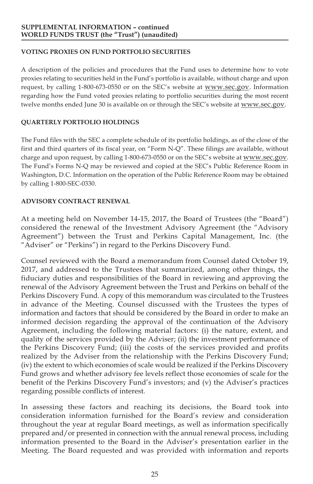#### **VOTING PROXIES ON FUND PORTFOLIO SECURITIES**

A description of the policies and procedures that the Fund uses to determine how to vote proxies relating to securities held in the Fund's portfolio is available, without charge and upon request, by calling 1-800-673-0550 or on the SEC's website at www.sec.gov. Information regarding how the Fund voted proxies relating to portfolio securities during the most recent twelve months ended June 30 is available on or through the SEC's website at www.sec.gov.

#### **QUARTERLY PORTFOLIO HOLDINGS**

The Fund files with the SEC a complete schedule of its portfolio holdings, as of the close of the first and third quarters of its fiscal year, on "Form N-Q". These filings are available, without charge and upon request, by calling 1-800-673-0550 or on the SEC's website at www.sec.gov. The Fund's Forms N-Q may be reviewed and copied at the SEC's Public Reference Room in Washington, D.C. Information on the operation of the Public Reference Room may be obtained by calling 1-800-SEC-0330.

#### **ADVISORY CONTRACT RENEWAL**

At a meeting held on November 14-15, 2017, the Board of Trustees (the "Board") considered the renewal of the Investment Advisory Agreement (the "Advisory Agreement") between the Trust and Perkins Capital Management, Inc. (the "Adviser" or "Perkins") in regard to the Perkins Discovery Fund.

Counsel reviewed with the Board a memorandum from Counsel dated October 19, 2017, and addressed to the Trustees that summarized, among other things, the fiduciary duties and responsibilities of the Board in reviewing and approving the renewal of the Advisory Agreement between the Trust and Perkins on behalf of the Perkins Discovery Fund. A copy of this memorandum was circulated to the Trustees in advance of the Meeting. Counsel discussed with the Trustees the types of information and factors that should be considered by the Board in order to make an informed decision regarding the approval of the continuation of the Advisory Agreement, including the following material factors: (i) the nature, extent, and quality of the services provided by the Adviser; (ii) the investment performance of the Perkins Discovery Fund; (iii) the costs of the services provided and profits realized by the Adviser from the relationship with the Perkins Discovery Fund; (iv) the extent to which economies of scale would be realized if the Perkins Discovery Fund grows and whether advisory fee levels reflect those economies of scale for the benefit of the Perkins Discovery Fund's investors; and (v) the Adviser's practices regarding possible conflicts of interest.

In assessing these factors and reaching its decisions, the Board took into consideration information furnished for the Board's review and consideration throughout the year at regular Board meetings, as well as information specifically prepared and/or presented in connection with the annual renewal process, including information presented to the Board in the Adviser's presentation earlier in the Meeting. The Board requested and was provided with information and reports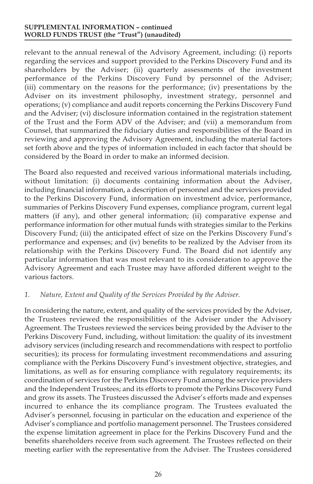relevant to the annual renewal of the Advisory Agreement, including: (i) reports regarding the services and support provided to the Perkins Discovery Fund and its shareholders by the Adviser; (ii) quarterly assessments of the investment performance of the Perkins Discovery Fund by personnel of the Adviser; (iii) commentary on the reasons for the performance; (iv) presentations by the Adviser on its investment philosophy, investment strategy, personnel and operations; (v) compliance and audit reports concerning the Perkins Discovery Fund and the Adviser; (vi) disclosure information contained in the registration statement of the Trust and the Form ADV of the Adviser; and (vii) a memorandum from Counsel, that summarized the fiduciary duties and responsibilities of the Board in reviewing and approving the Advisory Agreement, including the material factors set forth above and the types of information included in each factor that should be considered by the Board in order to make an informed decision.

The Board also requested and received various informational materials including, without limitation: (i) documents containing information about the Adviser, including financial information, a description of personnel and the services provided to the Perkins Discovery Fund, information on investment advice, performance, summaries of Perkins Discovery Fund expenses, compliance program, current legal matters (if any), and other general information; (ii) comparative expense and performance information for other mutual funds with strategies similar to the Perkins Discovery Fund; (iii) the anticipated effect of size on the Perkins Discovery Fund's performance and expenses; and (iv) benefits to be realized by the Adviser from its relationship with the Perkins Discovery Fund. The Board did not identify any particular information that was most relevant to its consideration to approve the Advisory Agreement and each Trustee may have afforded different weight to the various factors.

## *1. Nature, Extent and Quality of the Services Provided by the Adviser.*

In considering the nature, extent, and quality of the services provided by the Adviser, the Trustees reviewed the responsibilities of the Adviser under the Advisory Agreement. The Trustees reviewed the services being provided by the Adviser to the Perkins Discovery Fund, including, without limitation: the quality of its investment advisory services (including research and recommendations with respect to portfolio securities); its process for formulating investment recommendations and assuring compliance with the Perkins Discovery Fund's investment objective, strategies, and limitations, as well as for ensuring compliance with regulatory requirements; its coordination of services for the Perkins Discovery Fund among the service providers and the Independent Trustees; and its efforts to promote the Perkins Discovery Fund and grow its assets. The Trustees discussed the Adviser's efforts made and expenses incurred to enhance the its compliance program. The Trustees evaluated the Adviser's personnel, focusing in particular on the education and experience of the Adviser's compliance and portfolio management personnel. The Trustees considered the expense limitation agreement in place for the Perkins Discovery Fund and the benefits shareholders receive from such agreement. The Trustees reflected on their meeting earlier with the representative from the Adviser. The Trustees considered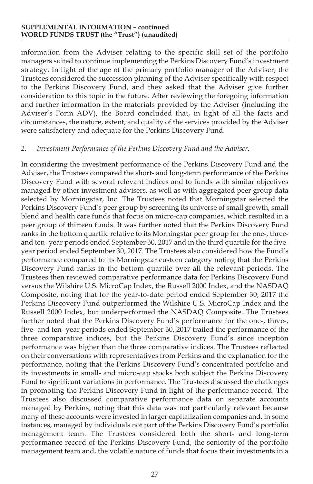information from the Adviser relating to the specific skill set of the portfolio managers suited to continue implementing the Perkins Discovery Fund's investment strategy. In light of the age of the primary portfolio manager of the Adviser, the Trustees considered the succession planning of the Adviser specifically with respect to the Perkins Discovery Fund, and they asked that the Adviser give further consideration to this topic in the future. After reviewing the foregoing information and further information in the materials provided by the Adviser (including the Adviser's Form ADV), the Board concluded that, in light of all the facts and circumstances, the nature, extent, and quality of the services provided by the Adviser were satisfactory and adequate for the Perkins Discovery Fund.

#### *2. Investment Performance of the Perkins Discovery Fund and the Adviser.*

In considering the investment performance of the Perkins Discovery Fund and the Adviser, the Trustees compared the short- and long-term performance of the Perkins Discovery Fund with several relevant indices and to funds with similar objectives managed by other investment advisers, as well as with aggregated peer group data selected by Morningstar, Inc. The Trustees noted that Morningstar selected the Perkins Discovery Fund's peer group by screening its universe of small growth, small blend and health care funds that focus on micro-cap companies, which resulted in a peer group of thirteen funds. It was further noted that the Perkins Discovery Fund ranks in the bottom quartile relative to its Morningstar peer group for the one-, threeand ten- year periods ended September 30, 2017 and in the third quartile for the fiveyear period ended September 30, 2017. The Trustees also considered how the Fund's performance compared to its Morningstar custom category noting that the Perkins Discovery Fund ranks in the bottom quartile over all the relevant periods. The Trustees then reviewed comparative performance data for Perkins Discovery Fund versus the Wilshire U.S. MicroCap Index, the Russell 2000 Index, and the NASDAQ Composite, noting that for the year-to-date period ended September 30, 2017 the Perkins Discovery Fund outperformed the Wilshire U.S. MicroCap Index and the Russell 2000 Index, but underperformed the NASDAQ Composite. The Trustees further noted that the Perkins Discovery Fund's performance for the one-, three-, five- and ten- year periods ended September 30, 2017 trailed the performance of the three comparative indices, but the Perkins Discovery Fund's since inception performance was higher than the three comparative indices. The Trustees reflected on their conversations with representatives from Perkins and the explanation for the performance, noting that the Perkins Discovery Fund's concentrated portfolio and its investments in small- and micro-cap stocks both subject the Perkins Discovery Fund to significant variations in performance. The Trustees discussed the challenges in promoting the Perkins Discovery Fund in light of the performance record. The Trustees also discussed comparative performance data on separate accounts managed by Perkins, noting that this data was not particularly relevant because many of these accounts were invested in larger capitalization companies and, in some instances, managed by individuals not part of the Perkins Discovery Fund's portfolio management team. The Trustees considered both the short- and long-term performance record of the Perkins Discovery Fund, the seniority of the portfolio management team and, the volatile nature of funds that focus their investments in a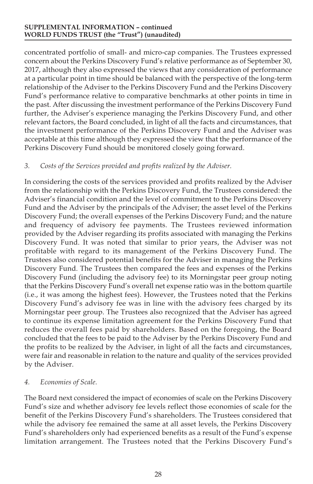concentrated portfolio of small- and micro-cap companies. The Trustees expressed concern about the Perkins Discovery Fund's relative performance as of September 30, 2017, although they also expressed the views that any consideration of performance at a particular point in time should be balanced with the perspective of the long-term relationship of the Adviser to the Perkins Discovery Fund and the Perkins Discovery Fund's performance relative to comparative benchmarks at other points in time in the past. After discussing the investment performance of the Perkins Discovery Fund further, the Adviser's experience managing the Perkins Discovery Fund, and other relevant factors, the Board concluded, in light of all the facts and circumstances, that the investment performance of the Perkins Discovery Fund and the Adviser was acceptable at this time although they expressed the view that the performance of the Perkins Discovery Fund should be monitored closely going forward.

## *3. Costs of the Services provided and profits realized by the Adviser.*

In considering the costs of the services provided and profits realized by the Adviser from the relationship with the Perkins Discovery Fund, the Trustees considered: the Adviser's financial condition and the level of commitment to the Perkins Discovery Fund and the Adviser by the principals of the Adviser; the asset level of the Perkins Discovery Fund; the overall expenses of the Perkins Discovery Fund; and the nature and frequency of advisory fee payments. The Trustees reviewed information provided by the Adviser regarding its profits associated with managing the Perkins Discovery Fund. It was noted that similar to prior years, the Adviser was not profitable with regard to its management of the Perkins Discovery Fund. The Trustees also considered potential benefits for the Adviser in managing the Perkins Discovery Fund. The Trustees then compared the fees and expenses of the Perkins Discovery Fund (including the advisory fee) to its Morningstar peer group noting that the Perkins Discovery Fund's overall net expense ratio was in the bottom quartile (i.e., it was among the highest fees). However, the Trustees noted that the Perkins Discovery Fund's advisory fee was in line with the advisory fees charged by its Morningstar peer group. The Trustees also recognized that the Adviser has agreed to continue its expense limitation agreement for the Perkins Discovery Fund that reduces the overall fees paid by shareholders. Based on the foregoing, the Board concluded that the fees to be paid to the Adviser by the Perkins Discovery Fund and the profits to be realized by the Adviser, in light of all the facts and circumstances, were fair and reasonable in relation to the nature and quality of the services provided by the Adviser.

## *4. Economies of Scale.*

The Board next considered the impact of economies of scale on the Perkins Discovery Fund's size and whether advisory fee levels reflect those economies of scale for the benefit of the Perkins Discovery Fund's shareholders. The Trustees considered that while the advisory fee remained the same at all asset levels, the Perkins Discovery Fund's shareholders only had experienced benefits as a result of the Fund's expense limitation arrangement. The Trustees noted that the Perkins Discovery Fund's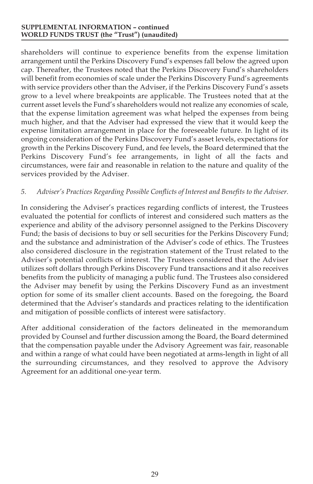shareholders will continue to experience benefits from the expense limitation arrangement until the Perkins Discovery Fund's expenses fall below the agreed upon cap. Thereafter, the Trustees noted that the Perkins Discovery Fund's shareholders will benefit from economies of scale under the Perkins Discovery Fund's agreements with service providers other than the Adviser, if the Perkins Discovery Fund's assets grow to a level where breakpoints are applicable. The Trustees noted that at the current asset levels the Fund's shareholders would not realize any economies of scale, that the expense limitation agreement was what helped the expenses from being much higher, and that the Adviser had expressed the view that it would keep the expense limitation arrangement in place for the foreseeable future. In light of its ongoing consideration of the Perkins Discovery Fund's asset levels, expectations for growth in the Perkins Discovery Fund, and fee levels, the Board determined that the Perkins Discovery Fund's fee arrangements, in light of all the facts and circumstances, were fair and reasonable in relation to the nature and quality of the services provided by the Adviser.

## *5. Adviser's Practices Regarding Possible Conflicts of Interest and Benefits to the Adviser.*

In considering the Adviser's practices regarding conflicts of interest, the Trustees evaluated the potential for conflicts of interest and considered such matters as the experience and ability of the advisory personnel assigned to the Perkins Discovery Fund; the basis of decisions to buy or sell securities for the Perkins Discovery Fund; and the substance and administration of the Adviser's code of ethics. The Trustees also considered disclosure in the registration statement of the Trust related to the Adviser's potential conflicts of interest. The Trustees considered that the Adviser utilizes soft dollars through Perkins Discovery Fund transactions and it also receives benefits from the publicity of managing a public fund. The Trustees also considered the Adviser may benefit by using the Perkins Discovery Fund as an investment option for some of its smaller client accounts. Based on the foregoing, the Board determined that the Adviser's standards and practices relating to the identification and mitigation of possible conflicts of interest were satisfactory.

After additional consideration of the factors delineated in the memorandum provided by Counsel and further discussion among the Board, the Board determined that the compensation payable under the Advisory Agreement was fair, reasonable and within a range of what could have been negotiated at arms-length in light of all the surrounding circumstances, and they resolved to approve the Advisory Agreement for an additional one-year term.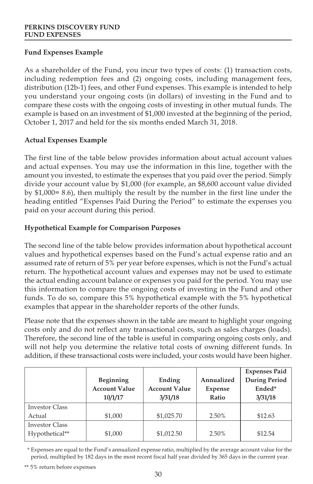# **Fund Expenses Example**

As a shareholder of the Fund, you incur two types of costs: (1) transaction costs, including redemption fees and (2) ongoing costs, including management fees, distribution (12b-1) fees, and other Fund expenses. This example is intended to help you understand your ongoing costs (in dollars) of investing in the Fund and to compare these costs with the ongoing costs of investing in other mutual funds. The example is based on an investment of \$1,000 invested at the beginning of the period, October 1, 2017 and held for the six months ended March 31, 2018.

# **Actual Expenses Example**

The first line of the table below provides information about actual account values and actual expenses. You may use the information in this line, together with the amount you invested, to estimate the expenses that you paid over the period. Simply divide your account value by \$1,000 (for example, an \$8,600 account value divided by \$1,000= 8.6), then multiply the result by the number in the first line under the heading entitled "Expenses Paid During the Period" to estimate the expenses you paid on your account during this period.

# **Hypothetical Example for Comparison Purposes**

The second line of the table below provides information about hypothetical account values and hypothetical expenses based on the Fund's actual expense ratio and an assumed rate of return of  $5\%$  per year before expenses, which is not the Fund's actual return. The hypothetical account values and expenses may not be used to estimate the actual ending account balance or expenses you paid for the period. You may use this information to compare the ongoing costs of investing in the Fund and other funds. To do so, compare this 5% hypothetical example with the 5% hypothetical examples that appear in the shareholder reports of the other funds.

Please note that the expenses shown in the table are meant to highlight your ongoing costs only and do not reflect any transactional costs, such as sales charges (loads). Therefore, the second line of the table is useful in comparing ongoing costs only, and will not help you determine the relative total costs of owning different funds. In addition, if these transactional costs were included, your costs would have been higher.

|                       | <b>Beginning</b><br><b>Account Value</b><br>10/1/17 | Ending<br><b>Account Value</b><br>3/31/18 | Annualized<br>Expense<br>Ratio | <b>Expenses Paid</b><br><b>During Period</b><br>Ended*<br>3/31/18 |
|-----------------------|-----------------------------------------------------|-------------------------------------------|--------------------------------|-------------------------------------------------------------------|
| <b>Investor Class</b> |                                                     |                                           |                                |                                                                   |
| Actual                | \$1,000                                             | \$1,025.70                                | 2.50%                          | \$12.63                                                           |
| <b>Investor Class</b> |                                                     |                                           |                                |                                                                   |
| Hypothetical**        | \$1,000                                             | \$1,012.50                                | 2.50%                          | \$12.54                                                           |

\* Expenses are equal to the Fund's annualized expense ratio, multiplied by the average account value for the period, multiplied by 182 days in the most recent fiscal half year divided by 365 days in the current year.

\*\* 5% return before expenses